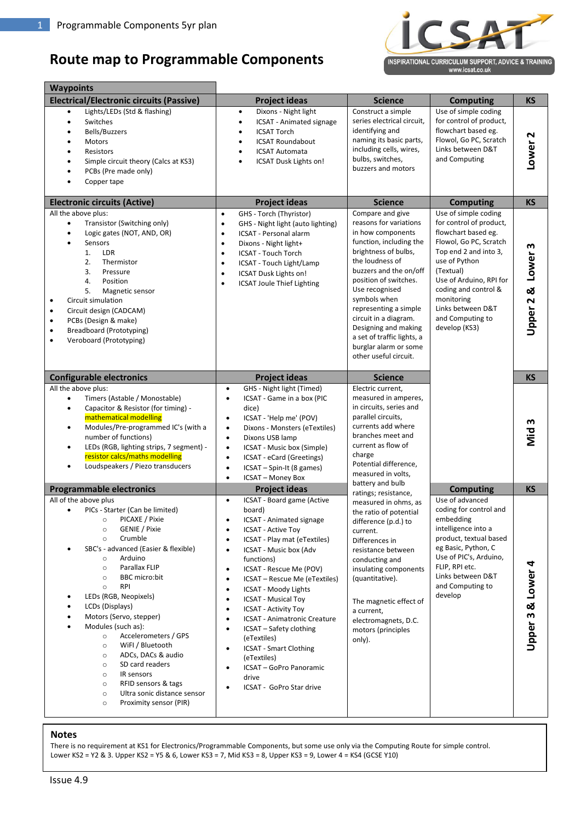### **Route map to Programmable Components**



| <b>Waypoints</b>                                                                                                                                                                                                                                                                                                                                                                                                                                                                                                                                                                                                                                                                   |                                                                                                                                                                                                                                                                                                                                                                                                                                                                                                                                                                                                                                                                                                  |                                                                                                                                                                                                                                                                                                                                                                                      |                                                                                                                                                                                                                                                                                    |                    |
|------------------------------------------------------------------------------------------------------------------------------------------------------------------------------------------------------------------------------------------------------------------------------------------------------------------------------------------------------------------------------------------------------------------------------------------------------------------------------------------------------------------------------------------------------------------------------------------------------------------------------------------------------------------------------------|--------------------------------------------------------------------------------------------------------------------------------------------------------------------------------------------------------------------------------------------------------------------------------------------------------------------------------------------------------------------------------------------------------------------------------------------------------------------------------------------------------------------------------------------------------------------------------------------------------------------------------------------------------------------------------------------------|--------------------------------------------------------------------------------------------------------------------------------------------------------------------------------------------------------------------------------------------------------------------------------------------------------------------------------------------------------------------------------------|------------------------------------------------------------------------------------------------------------------------------------------------------------------------------------------------------------------------------------------------------------------------------------|--------------------|
| <b>Electrical/Electronic circuits (Passive)</b>                                                                                                                                                                                                                                                                                                                                                                                                                                                                                                                                                                                                                                    | <b>Project ideas</b>                                                                                                                                                                                                                                                                                                                                                                                                                                                                                                                                                                                                                                                                             | <b>Science</b>                                                                                                                                                                                                                                                                                                                                                                       | <b>Computing</b>                                                                                                                                                                                                                                                                   | <b>KS</b>          |
| Lights/LEDs (Std & flashing)<br>$\bullet$<br>Switches<br>Bells/Buzzers<br><b>Motors</b><br>٠<br>Resistors<br>Simple circuit theory (Calcs at KS3)<br>PCBs (Pre made only)<br>Copper tape                                                                                                                                                                                                                                                                                                                                                                                                                                                                                           | Dixons - Night light<br>$\bullet$<br><b>ICSAT</b> - Animated signage<br>$\bullet$<br><b>ICSAT Torch</b><br>٠<br><b>ICSAT Roundabout</b><br>$\bullet$<br><b>ICSAT Automata</b><br>$\bullet$<br>ICSAT Dusk Lights on!                                                                                                                                                                                                                                                                                                                                                                                                                                                                              | Construct a simple<br>series electrical circuit,<br>identifying and<br>naming its basic parts,<br>including cells, wires,<br>bulbs, switches,<br>buzzers and motors                                                                                                                                                                                                                  | Use of simple coding<br>for control of product,<br>flowchart based eg.<br>Flowol, Go PC, Scratch<br>Links between D&T<br>and Computing                                                                                                                                             | Lower <sub>2</sub> |
| <b>Electronic circuits (Active)</b>                                                                                                                                                                                                                                                                                                                                                                                                                                                                                                                                                                                                                                                | <b>Project ideas</b>                                                                                                                                                                                                                                                                                                                                                                                                                                                                                                                                                                                                                                                                             | <b>Science</b>                                                                                                                                                                                                                                                                                                                                                                       | <b>Computing</b>                                                                                                                                                                                                                                                                   | <b>KS</b>          |
| All the above plus:<br>Transistor (Switching only)<br>$\bullet$<br>Logic gates (NOT, AND, OR)<br>$\bullet$<br>Sensors<br>LDR<br>1.<br>2.<br>Thermistor<br>3.<br>Pressure<br>4.<br>Position<br>5.<br>Magnetic sensor<br>Circuit simulation<br>$\bullet$<br>Circuit design (CADCAM)<br>$\bullet$<br>PCBs (Design & make)<br>$\bullet$<br><b>Breadboard (Prototyping)</b><br>$\bullet$<br>Veroboard (Prototyping)<br>$\bullet$                                                                                                                                                                                                                                                        | GHS - Torch (Thyristor)<br>$\bullet$<br>GHS - Night light (auto lighting)<br>$\bullet$<br>ICSAT - Personal alarm<br>$\bullet$<br>Dixons - Night light+<br>$\bullet$<br>ICSAT - Touch Torch<br>$\bullet$<br>ICSAT - Touch Light/Lamp<br>$\bullet$<br>ICSAT Dusk Lights on!<br>$\bullet$<br><b>ICSAT Joule Thief Lighting</b><br>$\bullet$                                                                                                                                                                                                                                                                                                                                                         | Compare and give<br>reasons for variations<br>in how components<br>function, including the<br>brightness of bulbs,<br>the loudness of<br>buzzers and the on/off<br>position of switches.<br>Use recognised<br>symbols when<br>representing a simple<br>circuit in a diagram.<br>Designing and making<br>a set of traffic lights, a<br>burglar alarm or some<br>other useful circuit. | Use of simple coding<br>for control of product,<br>flowchart based eg.<br>Flowol, Go PC, Scratch<br>Top end 2 and into 3,<br>use of Python<br>(Textual)<br>Use of Arduino, RPI for<br>coding and control &<br>monitoring<br>Links between D&T<br>and Computing to<br>develop (KS3) | Upper 2 & Lower 3  |
| <b>Configurable electronics</b>                                                                                                                                                                                                                                                                                                                                                                                                                                                                                                                                                                                                                                                    | <b>Project ideas</b>                                                                                                                                                                                                                                                                                                                                                                                                                                                                                                                                                                                                                                                                             | <b>Science</b>                                                                                                                                                                                                                                                                                                                                                                       |                                                                                                                                                                                                                                                                                    | <b>KS</b>          |
| All the above plus:<br>Timers (Astable / Monostable)<br>٠<br>Capacitor & Resistor (for timing) -<br>$\bullet$<br>mathematical modelling<br>Modules/Pre-programmed IC's (with a<br>٠<br>number of functions)<br>LEDs (RGB, lighting strips, 7 segment) -<br>٠<br>resistor calcs/maths modelling<br>Loudspeakers / Piezo transducers                                                                                                                                                                                                                                                                                                                                                 | GHS - Night light (Timed)<br>$\bullet$<br>ICSAT - Game in a box (PIC<br>$\bullet$<br>dice)<br>ICSAT - 'Help me' (POV)<br>$\bullet$<br>Dixons - Monsters (eTextiles)<br>$\bullet$<br>Dixons USB lamp<br>$\bullet$<br>ICSAT - Music box (Simple)<br>$\bullet$<br>ICSAT - eCard (Greetings)<br>$\bullet$<br>ICSAT - Spin-It (8 games)<br>$\bullet$<br><b>ICSAT - Money Box</b><br>$\bullet$                                                                                                                                                                                                                                                                                                         | Electric current,<br>measured in amperes,<br>in circuits, series and<br>parallel circuits,<br>currents add where<br>branches meet and<br>current as flow of<br>charge<br>Potential difference,<br>measured in volts,                                                                                                                                                                 |                                                                                                                                                                                                                                                                                    | Mid <sub>3</sub>   |
| <b>Programmable electronics</b>                                                                                                                                                                                                                                                                                                                                                                                                                                                                                                                                                                                                                                                    | <b>Project ideas</b>                                                                                                                                                                                                                                                                                                                                                                                                                                                                                                                                                                                                                                                                             | battery and bulb                                                                                                                                                                                                                                                                                                                                                                     | <b>Computing</b>                                                                                                                                                                                                                                                                   | <b>KS</b>          |
| All of the above plus<br>PICs - Starter (Can be limited)<br>$\bullet$<br>PICAXE / Pixie<br>$\circ$<br>GENIE / Pixie<br>$\circ$<br>Crumble<br>$\circ$<br>SBC's - advanced (Easier & flexible)<br>Arduino<br>$\circ$<br>Parallax FLIP<br>$\circ$<br><b>BBC</b> micro:bit<br>$\circ$<br><b>RPI</b><br>$\circ$<br>LEDs (RGB, Neopixels)<br>LCDs (Displays)<br>Motors (Servo, stepper)<br>Modules (such as):<br>Accelerometers / GPS<br>$\circ$<br>WiFI / Bluetooth<br>$\circ$<br>ADCs, DACs & audio<br>$\circ$<br>SD card readers<br>$\circ$<br>IR sensors<br>$\circ$<br>RFID sensors & tags<br>$\circ$<br>Ultra sonic distance sensor<br>$\circ$<br>Proximity sensor (PIR)<br>$\circ$ | ICSAT - Board game (Active<br>$\bullet$<br>board)<br><b>ICSAT</b> - Animated signage<br><b>ICSAT - Active Toy</b><br>$\bullet$<br>ICSAT - Play mat (eTextiles)<br>$\bullet$<br>ICSAT - Music box (Adv<br>$\bullet$<br>functions)<br>ICSAT - Rescue Me (POV)<br>$\bullet$<br>ICSAT - Rescue Me (eTextiles)<br>$\bullet$<br>ICSAT - Moody Lights<br>$\bullet$<br><b>ICSAT - Musical Toy</b><br>$\bullet$<br><b>ICSAT - Activity Toy</b><br>$\bullet$<br>ICSAT - Animatronic Creature<br>$\bullet$<br>ICSAT - Safety clothing<br>$\bullet$<br>(eTextiles)<br><b>ICSAT - Smart Clothing</b><br>$\bullet$<br>(eTextiles)<br>ICSAT - GoPro Panoramic<br>$\bullet$<br>drive<br>ICSAT - GoPro Star drive | ratings; resistance,<br>measured in ohms, as<br>the ratio of potential<br>difference (p.d.) to<br>current.<br>Differences in<br>resistance between<br>conducting and<br>insulating components<br>(quantitative).<br>The magnetic effect of<br>a current,<br>electromagnets, D.C.<br>motors (principles<br>only).                                                                     | Use of advanced<br>coding for control and<br>embedding<br>intelligence into a<br>product, textual based<br>eg Basic, Python, C<br>Use of PIC's, Arduino,<br>FLIP, RPI etc.<br>Links between D&T<br>and Computing to<br>develop                                                     | Upper 3 & Lower 4  |

#### **Notes**

There is no requirement at KS1 for Electronics/Programmable Components, but some use only via the Computing Route for simple control. Lower KS2 = Y2 & 3. Upper KS2 = Y5 & 6, Lower KS3 = 7, Mid KS3 = 8, Upper KS3 = 9, Lower 4 = KS4 (GCSE Y10)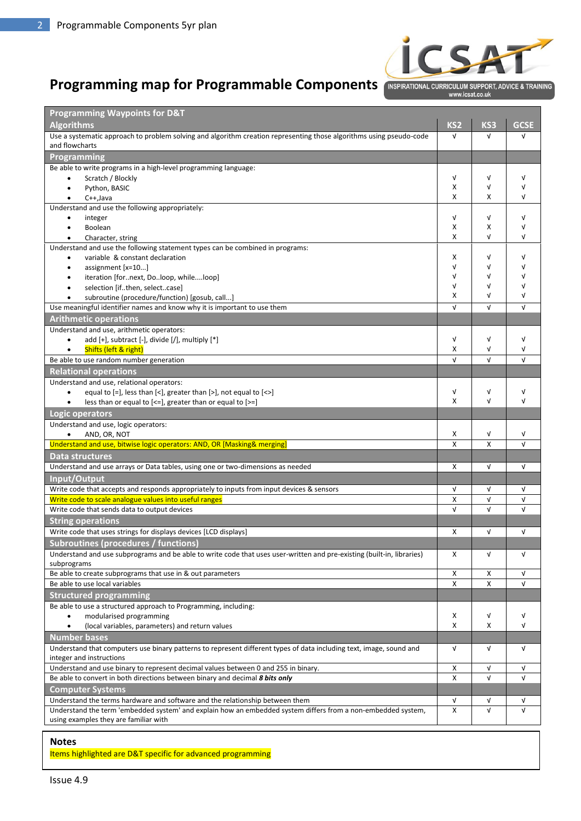

## **Programming map for Programmable Components**

www.icsat.co.uk

| <b>Programming Waypoints for D&amp;T</b>                                                                                                    |                               |                           |             |
|---------------------------------------------------------------------------------------------------------------------------------------------|-------------------------------|---------------------------|-------------|
| <b>Algorithms</b>                                                                                                                           | KS <sub>2</sub><br>$\sqrt{ }$ | KS3                       | <b>GCSE</b> |
| Use a systematic approach to problem solving and algorithm creation representing those algorithms using pseudo-code<br>and flowcharts       |                               | V                         | $\sqrt{ }$  |
| Programming                                                                                                                                 |                               |                           |             |
| Be able to write programs in a high-level programming language:                                                                             |                               |                           |             |
| Scratch / Blockly                                                                                                                           | $\sqrt{ }$                    | V                         | V           |
| Python, BASIC<br>$\bullet$                                                                                                                  | X                             | $\sqrt{ }$                | V           |
| $C++$ , Java<br>$\bullet$                                                                                                                   | X                             | X                         | V           |
| Understand and use the following appropriately:                                                                                             |                               |                           |             |
| integer<br>$\bullet$                                                                                                                        | $\sqrt{ }$                    | V                         | $\sqrt{ }$  |
| Boolean                                                                                                                                     | X                             | х                         | V           |
| Character, string<br>$\bullet$                                                                                                              | X                             | $\sqrt{ }$                | V           |
| Understand and use the following statement types can be combined in programs:                                                               |                               |                           |             |
| variable & constant declaration                                                                                                             | х                             | V                         | V           |
| assignment [x=10]<br>$\bullet$                                                                                                              | $\sqrt{ }$<br>$\sqrt{ }$      | V<br>V                    | v<br>V      |
| iteration [fornext, Doloop, whileloop]                                                                                                      | V                             | V                         | ν           |
| selection [ifthen, selectcase]<br>subroutine (procedure/function) [gosub, call]                                                             | X                             | V                         | ν           |
| Use meaningful identifier names and know why it is important to use them                                                                    | $\sqrt{ }$                    | $\sqrt{ }$                | V           |
| <b>Arithmetic operations</b>                                                                                                                |                               |                           |             |
| Understand and use, arithmetic operators:                                                                                                   |                               |                           |             |
| add [+], subtract [-], divide [/], multiply [*]                                                                                             | $\sqrt{ }$                    | $\sqrt{ }$                | $\sqrt{ }$  |
| Shifts (left & right)<br>$\bullet$                                                                                                          | X                             | V                         | V           |
| Be able to use random number generation                                                                                                     | $\sqrt{ }$                    | $\sqrt{ }$                | $\sqrt{ }$  |
| <b>Relational operations</b>                                                                                                                |                               |                           |             |
| Understand and use, relational operators:                                                                                                   |                               |                           |             |
| equal to $[=]$ , less than $[<]$ , greater than $[>]$ , not equal to $[<>>]$<br>$\bullet$                                                   | $\sqrt{ }$                    | $\sqrt{ }$                | $\sqrt{ }$  |
| less than or equal to $\left[ \langle \cdot   \cdot \rangle \right]$ greater than or equal to $\left[ \cdot \rangle = \right]$<br>$\bullet$ | X                             | V                         | $\sqrt{ }$  |
| Logic operators                                                                                                                             |                               |                           |             |
| Understand and use, logic operators:                                                                                                        |                               |                           |             |
| AND, OR, NOT                                                                                                                                | X                             | V                         | $\sqrt{ }$  |
| Understand and use, bitwise logic operators: AND, OR [Masking& merging]                                                                     | X                             | $\boldsymbol{\mathsf{x}}$ | $\sqrt{ }$  |
| Data structures                                                                                                                             |                               |                           |             |
| Understand and use arrays or Data tables, using one or two-dimensions as needed                                                             | X                             | $\sqrt{ }$                | $\sqrt{ }$  |
| Input/Output                                                                                                                                |                               |                           |             |
| Write code that accepts and responds appropriately to inputs from input devices & sensors                                                   | V                             | V                         | $\sqrt{ }$  |
| Write code to scale analogue values into useful ranges                                                                                      | Χ                             | $\sqrt{ }$                | V           |
| Write code that sends data to output devices                                                                                                | $\sqrt{ }$                    | $\sqrt{ }$                | $\sqrt{ }$  |
| <b>String operations</b>                                                                                                                    |                               |                           |             |
| Write code that uses strings for displays devices [LCD displays]                                                                            | X                             | V                         | $\sqrt{ }$  |
| Subroutines (procedures / functions)                                                                                                        |                               |                           |             |
| Understand and use subprograms and be able to write code that uses user-written and pre-existing (built-in, libraries)                      | x                             | $\sqrt{ }$                | $\sqrt{ }$  |
| subprograms                                                                                                                                 |                               |                           |             |
| Be able to create subprograms that use in & out parameters                                                                                  | x                             | х                         | $\sqrt{ }$  |
| Be able to use local variables                                                                                                              | X                             | X                         | V           |
| <b>Structured programming</b>                                                                                                               |                               |                           |             |
| Be able to use a structured approach to Programming, including:                                                                             |                               |                           |             |
| modularised programming                                                                                                                     | х                             | V                         | $\sqrt{ }$  |
| (local variables, parameters) and return values                                                                                             | X                             | X                         | V           |
| <b>Number bases</b>                                                                                                                         |                               |                           |             |
| Understand that computers use binary patterns to represent different types of data including text, image, sound and                         | V                             | V                         | $\sqrt{ }$  |
| integer and instructions                                                                                                                    |                               |                           |             |
| Understand and use binary to represent decimal values between 0 and 255 in binary.                                                          | X                             | $\sqrt{ }$                | V           |
| Be able to convert in both directions between binary and decimal 8 bits only                                                                | X                             | $\sqrt{ }$                | $\sqrt{ }$  |
| <b>Computer Systems</b>                                                                                                                     |                               |                           |             |
| Understand the terms hardware and software and the relationship between them                                                                |                               | $\sqrt{ }$                | $\sqrt{ }$  |
| Understand the term 'embedded system' and explain how an embedded system differs from a non-embedded system,                                | X                             | $\sqrt{ }$                | $\sqrt{ }$  |
| using examples they are familiar with                                                                                                       |                               |                           |             |

### **Notes**

Items highlighted are D&T specific for advanced programming